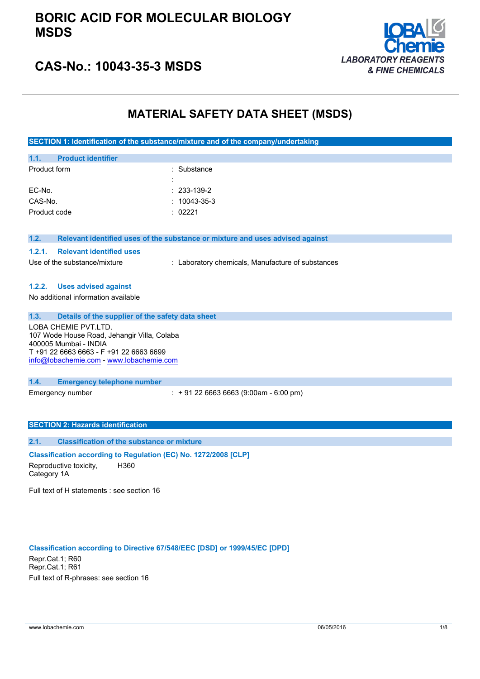

### **CAS-No.: 10043-35-3 MSDS**

### **MATERIAL SAFETY DATA SHEET (MSDS)**

**SECTION 1: Identification of the substance/mixture and of the company/undertaking**

| 1.1.         | <b>Product identifier</b> |   |                    |
|--------------|---------------------------|---|--------------------|
| Product form |                           |   | : Substance        |
|              |                           | ٠ |                    |
| EC-No.       |                           |   | $: 233 - 139 - 2$  |
| CAS-No.      |                           |   | $: 10043 - 35 - 3$ |
| Product code |                           |   | .02221             |

#### **1.2. Relevant identified uses of the substance or mixture and uses advised against**

#### **1.2.1. Relevant identified uses**

Use of the substance/mixture : Laboratory chemicals, Manufacture of substances

#### **1.2.2. Uses advised against**

No additional information available

#### **1.3. Details of the supplier of the safety data sheet**

LOBA CHEMIE PVT.LTD. 107 Wode House Road, Jehangir Villa, Colaba 400005 Mumbai - INDIA T +91 22 6663 6663 - F +91 22 6663 6699 [info@lobachemie.com](mailto:info@lobachemie.com) - <www.lobachemie.com>

#### **1.4. Emergency telephone number**

Emergency number : + 91 22 6663 6663 (9:00am - 6:00 pm)

#### **SECTION 2: Hazards identification**

#### **2.1. Classification of the substance or mixture**

#### **Classification according to Regulation (EC) No. 1272/2008 [CLP]**

Reproductive toxicity, Category 1A H360

Full text of H statements : see section 16

#### **Classification according to Directive 67/548/EEC [DSD] or 1999/45/EC [DPD]**

Repr.Cat.1; R60 Repr.Cat.1; R61 Full text of R-phrases: see section 16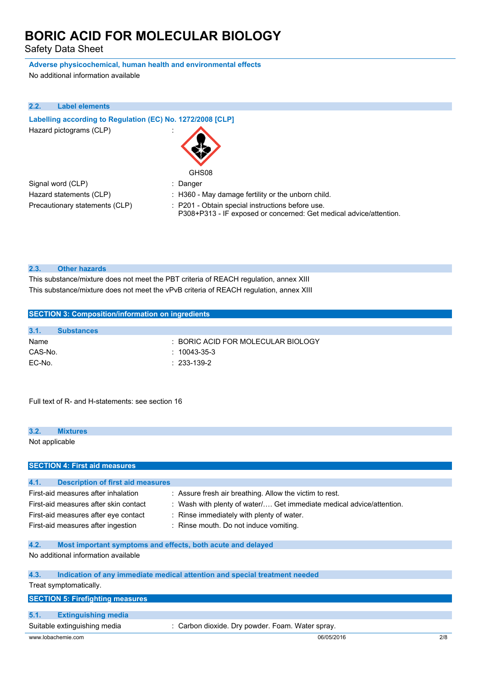Safety Data Sheet

### **Adverse physicochemical, human health and environmental effects**

No additional information available

| 2.2. | <b>Label elements</b>                                      |                                                                                                                        |
|------|------------------------------------------------------------|------------------------------------------------------------------------------------------------------------------------|
|      | Labelling according to Regulation (EC) No. 1272/2008 [CLP] |                                                                                                                        |
|      | Hazard pictograms (CLP)                                    |                                                                                                                        |
|      |                                                            | GHS08                                                                                                                  |
|      | Signal word (CLP)                                          | : Danger                                                                                                               |
|      | Hazard statements (CLP)                                    | : H360 - May damage fertility or the unborn child.                                                                     |
|      | Precautionary statements (CLP)                             | : P201 - Obtain special instructions before use.<br>P308+P313 - IF exposed or concerned: Get medical advice/attention. |

#### **2.3. Other hazards**

This substance/mixture does not meet the PBT criteria of REACH regulation, annex XIII This substance/mixture does not meet the vPvB criteria of REACH regulation, annex XIII

### **SECTION 3: Composition/information on ingredients**

| 3.1.<br><b>Substances</b> |                                    |
|---------------------------|------------------------------------|
| Name                      | : BORIC ACID FOR MOLECULAR BIOLOGY |
| CAS-No.                   | $: 10043 - 35 - 3$                 |
| EC-No.                    | $: 233 - 139 - 2$                  |

Full text of R- and H-statements: see section 16

| 3.2. | <b>Mixtures</b>                          |                                                                            |     |
|------|------------------------------------------|----------------------------------------------------------------------------|-----|
|      | Not applicable                           |                                                                            |     |
|      |                                          |                                                                            |     |
|      | <b>SECTION 4: First aid measures</b>     |                                                                            |     |
|      |                                          |                                                                            |     |
| 4.1. | <b>Description of first aid measures</b> |                                                                            |     |
|      | First-aid measures after inhalation      | : Assure fresh air breathing. Allow the victim to rest.                    |     |
|      | First-aid measures after skin contact    | : Wash with plenty of water/ Get immediate medical advice/attention.       |     |
|      | First-aid measures after eye contact     | : Rinse immediately with plenty of water.                                  |     |
|      | First-aid measures after ingestion       | : Rinse mouth. Do not induce vomiting.                                     |     |
|      |                                          |                                                                            |     |
| 4.2. |                                          | Most important symptoms and effects, both acute and delayed                |     |
|      | No additional information available      |                                                                            |     |
|      |                                          |                                                                            |     |
| 4.3. |                                          | Indication of any immediate medical attention and special treatment needed |     |
|      | Treat symptomatically.                   |                                                                            |     |
|      | <b>SECTION 5: Firefighting measures</b>  |                                                                            |     |
|      |                                          |                                                                            |     |
| 5.1. | <b>Extinguishing media</b>               |                                                                            |     |
|      | Suitable extinguishing media             | : Carbon dioxide. Dry powder. Foam. Water spray.                           |     |
|      | www.lobachemie.com                       | 06/05/2016                                                                 | 2/8 |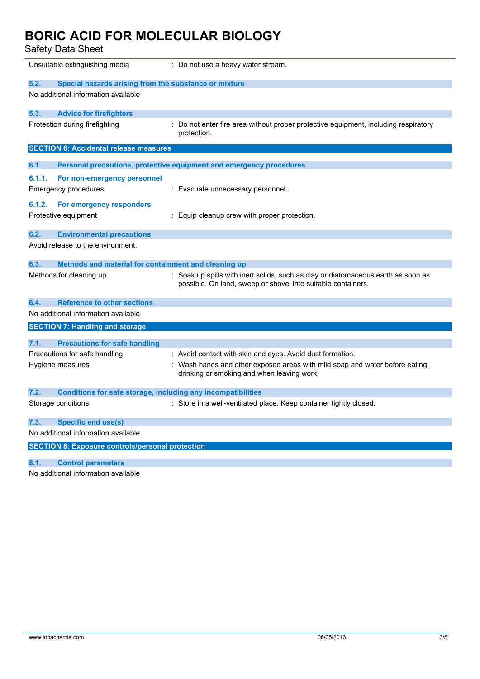Safety Data Sheet

| Unsuitable extinguishing media                                              | : Do not use a heavy water stream.                                                                                                                |
|-----------------------------------------------------------------------------|---------------------------------------------------------------------------------------------------------------------------------------------------|
| 5.2.<br>Special hazards arising from the substance or mixture               |                                                                                                                                                   |
| No additional information available                                         |                                                                                                                                                   |
| 5.3.<br><b>Advice for firefighters</b>                                      |                                                                                                                                                   |
| Protection during firefighting                                              | : Do not enter fire area without proper protective equipment, including respiratory<br>protection.                                                |
| <b>SECTION 6: Accidental release measures</b>                               |                                                                                                                                                   |
| 6.1.                                                                        | Personal precautions, protective equipment and emergency procedures                                                                               |
| 6.1.1.<br>For non-emergency personnel                                       |                                                                                                                                                   |
| <b>Emergency procedures</b>                                                 | : Evacuate unnecessary personnel.                                                                                                                 |
| 6.1.2.<br>For emergency responders                                          |                                                                                                                                                   |
| Protective equipment                                                        | : Equip cleanup crew with proper protection.                                                                                                      |
| 6.2.<br><b>Environmental precautions</b>                                    |                                                                                                                                                   |
| Avoid release to the environment.                                           |                                                                                                                                                   |
| 6.3.<br>Methods and material for containment and cleaning up                |                                                                                                                                                   |
| Methods for cleaning up                                                     | : Soak up spills with inert solids, such as clay or diatomaceous earth as soon as<br>possible. On land, sweep or shovel into suitable containers. |
| <b>Reference to other sections</b><br>6.4.                                  |                                                                                                                                                   |
| No additional information available                                         |                                                                                                                                                   |
| <b>SECTION 7: Handling and storage</b>                                      |                                                                                                                                                   |
| 7.1.<br><b>Precautions for safe handling</b>                                |                                                                                                                                                   |
| Precautions for safe handling                                               | : Avoid contact with skin and eyes. Avoid dust formation.                                                                                         |
| Hygiene measures                                                            | Wash hands and other exposed areas with mild soap and water before eating,<br>drinking or smoking and when leaving work.                          |
| 7.2.<br><b>Conditions for safe storage, including any incompatibilities</b> |                                                                                                                                                   |
| Storage conditions                                                          | : Store in a well-ventilated place. Keep container tightly closed.                                                                                |
| <b>Specific end use(s)</b><br>7.3.                                          |                                                                                                                                                   |
| No additional information available                                         |                                                                                                                                                   |
| <b>SECTION 8: Exposure controls/personal protection</b>                     |                                                                                                                                                   |
| 8.1.<br><b>Control parameters</b>                                           |                                                                                                                                                   |

No additional information available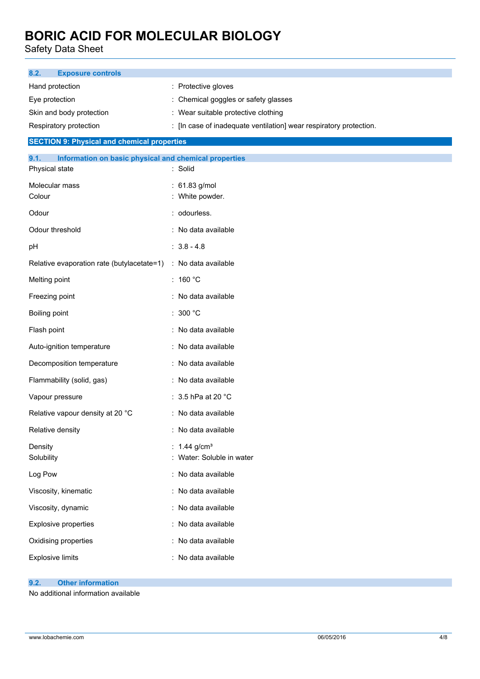Safety Data Sheet

| 8.2.<br><b>Exposure controls</b>                              |                                                                    |
|---------------------------------------------------------------|--------------------------------------------------------------------|
| Hand protection                                               | : Protective gloves                                                |
| Eye protection                                                | : Chemical goggles or safety glasses                               |
| Skin and body protection                                      | : Wear suitable protective clothing                                |
| Respiratory protection                                        | : [In case of inadequate ventilation] wear respiratory protection. |
| <b>SECTION 9: Physical and chemical properties</b>            |                                                                    |
| 9.1.<br>Information on basic physical and chemical properties |                                                                    |
| Physical state                                                | : Solid                                                            |
| Molecular mass<br>Colour                                      | : 61.83 g/mol<br>: White powder.                                   |
| Odour                                                         | : odourless.                                                       |
| Odour threshold                                               | : No data available                                                |
| pH                                                            | $: 3.8 - 4.8$                                                      |
| Relative evaporation rate (butylacetate=1)                    | : No data available                                                |
| Melting point                                                 | : $160 °C$                                                         |
| Freezing point                                                | : No data available                                                |
| Boiling point                                                 | : 300 $^{\circ}$ C                                                 |
| Flash point                                                   | : No data available                                                |
| Auto-ignition temperature                                     | : No data available                                                |
| Decomposition temperature                                     | : No data available                                                |
| Flammability (solid, gas)                                     | : No data available                                                |
| Vapour pressure                                               | : 3.5 hPa at 20 $^{\circ}$ C                                       |
| Relative vapour density at 20 °C                              | : No data available                                                |
| Relative density                                              | : No data available                                                |
| Density<br>Solubility                                         | : $1.44$ g/cm <sup>3</sup><br>: Water: Soluble in water            |
| Log Pow                                                       | : No data available                                                |
| Viscosity, kinematic                                          | : No data available                                                |
| Viscosity, dynamic                                            | : No data available                                                |
| Explosive properties                                          | : No data available                                                |
| Oxidising properties                                          | : No data available                                                |
| <b>Explosive limits</b>                                       | : No data available                                                |
|                                                               |                                                                    |

### **9.2. Other information**

No additional information available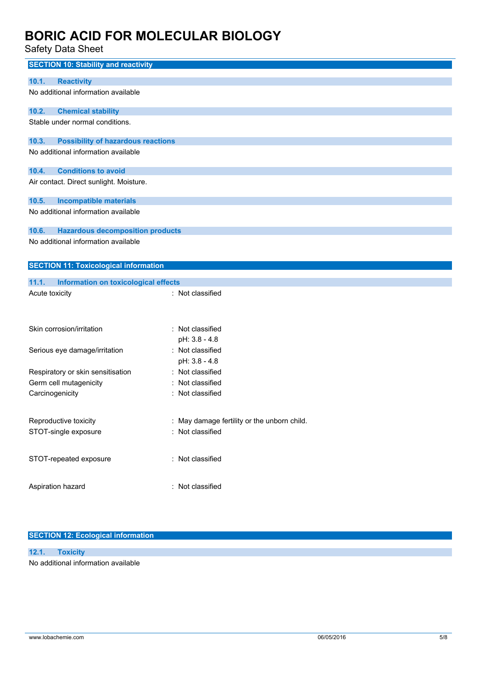Safety Data Sheet

| <b>SECTION 10: Stability and reactivity</b>        |                                           |
|----------------------------------------------------|-------------------------------------------|
| <b>Reactivity</b><br>10.1.                         |                                           |
| No additional information available                |                                           |
| 10.2.<br><b>Chemical stability</b>                 |                                           |
| Stable under normal conditions.                    |                                           |
| 10.3.<br><b>Possibility of hazardous reactions</b> |                                           |
| No additional information available                |                                           |
| 10.4.<br><b>Conditions to avoid</b>                |                                           |
| Air contact. Direct sunlight. Moisture.            |                                           |
| 10.5.<br><b>Incompatible materials</b>             |                                           |
| No additional information available                |                                           |
| 10.6.<br><b>Hazardous decomposition products</b>   |                                           |
| No additional information available                |                                           |
| <b>SECTION 11: Toxicological information</b>       |                                           |
| 11.1.<br>Information on toxicological effects      |                                           |
| Acute toxicity                                     | : Not classified                          |
|                                                    |                                           |
| Skin corrosion/irritation                          | : Not classified                          |
|                                                    | pH: 3.8 - 4.8                             |
| Serious eye damage/irritation                      | : Not classified                          |
|                                                    | pH: 3.8 - 4.8                             |
| Respiratory or skin sensitisation                  | Not classified<br>÷                       |
| Germ cell mutagenicity                             | Not classified                            |
| Carcinogenicity                                    | : Not classified                          |
| Reproductive toxicity                              | May damage fertility or the unborn child. |
| STOT-single exposure                               | : Not classified                          |
|                                                    |                                           |
| STOT-repeated exposure                             | : Not classified                          |
| Aspiration hazard                                  | : Not classified                          |
|                                                    |                                           |

### **SECTION 12: Ecological information**

## **12.1. Toxicity**

No additional information available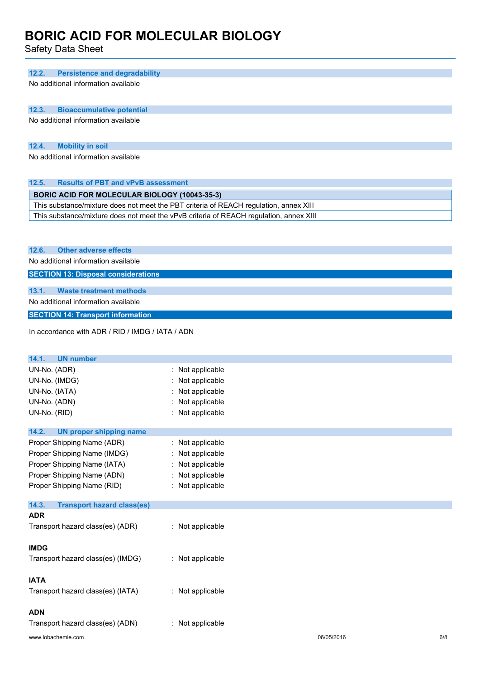Safety Data Sheet

#### **12.2. Persistence and degradability**

No additional information available

#### **12.3. Bioaccumulative potential**

No additional information available

#### **12.4. Mobility in soil**

No additional information available

### **12.5. Results of PBT and vPvB assessment**

**BORIC ACID FOR MOLECULAR BIOLOGY (10043-35-3)**

This substance/mixture does not meet the PBT criteria of REACH regulation, annex XIII

This substance/mixture does not meet the vPvB criteria of REACH regulation, annex XIII

#### **12.6. Other adverse effects**

No additional information available

**SECTION 13: Disposal considerations**

**13.1. Waste treatment methods**

No additional information available

**SECTION 14: Transport information**

In accordance with ADR / RID / IMDG / IATA / ADN

| www lobachemie com                                       |                  | 06/05/2016 | 6/8 |
|----------------------------------------------------------|------------------|------------|-----|
| Transport hazard class(es) (ADN)                         | : Not applicable |            |     |
| <b>ADN</b>                                               |                  |            |     |
| <b>IATA</b><br>Transport hazard class(es) (IATA)         | : Not applicable |            |     |
| Transport hazard class(es) (IMDG)                        | : Not applicable |            |     |
| <b>IMDG</b>                                              |                  |            |     |
| Transport hazard class(es) (ADR)                         | : Not applicable |            |     |
| 14.3.<br><b>Transport hazard class(es)</b><br><b>ADR</b> |                  |            |     |
|                                                          |                  |            |     |
| Proper Shipping Name (RID)                               | : Not applicable |            |     |
| Proper Shipping Name (ADN)                               | : Not applicable |            |     |
| Proper Shipping Name (IATA)                              | : Not applicable |            |     |
| Proper Shipping Name (IMDG)                              | : Not applicable |            |     |
| Proper Shipping Name (ADR)                               | Not applicable   |            |     |
| <b>UN proper shipping name</b><br>14.2.                  |                  |            |     |
| UN-No. (RID)                                             | : Not applicable |            |     |
| UN-No. (ADN)                                             | : Not applicable |            |     |
| UN-No. (IATA)                                            | Not applicable   |            |     |
| UN-No. (IMDG)                                            | Not applicable   |            |     |
| UN-No. (ADR)                                             | Not applicable   |            |     |
| <b>UN number</b><br>14.1.                                |                  |            |     |
|                                                          |                  |            |     |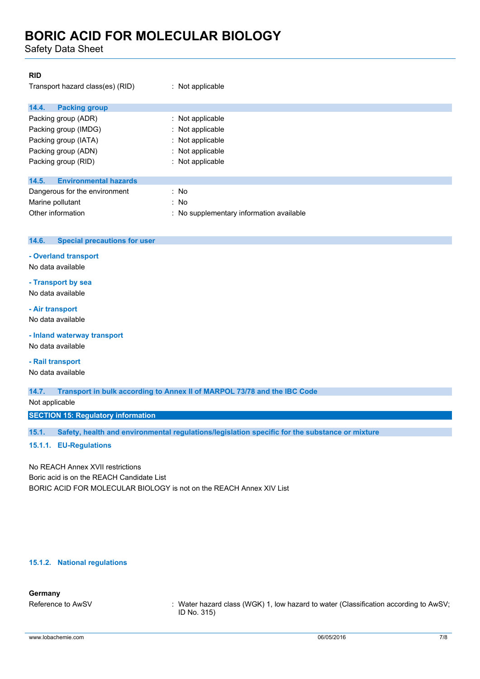Safety Data Sheet

| <b>RID</b>                            |                                          |
|---------------------------------------|------------------------------------------|
| Transport hazard class(es) (RID)      | : Not applicable                         |
| 14.4.<br><b>Packing group</b>         |                                          |
| Packing group (ADR)                   | $:$ Not applicable                       |
| Packing group (IMDG)                  | : Not applicable                         |
| Packing group (IATA)                  | : Not applicable                         |
| Packing group (ADN)                   | : Not applicable                         |
| Packing group (RID)                   | : Not applicable                         |
|                                       |                                          |
| <b>Environmental hazards</b><br>14.5. |                                          |
| Dangerous for the environment         | : No                                     |
| Marine pollutant                      | : No                                     |
| Other information                     | : No supplementary information available |

#### **14.6. Special precautions for user**

#### **- Overland transport**

No data available

#### **- Transport by sea**

No data available

#### **- Air transport** No data available

**- Inland waterway transport**

No data available

#### **- Rail transport**

No data available

**14.7. Transport in bulk according to Annex II of MARPOL 73/78 and the IBC Code**

Not applicable

#### **SECTION 15: Regulatory information**

**15.1. Safety, health and environmental regulations/legislation specific for the substance or mixture**

#### **15.1.1. EU-Regulations**

No REACH Annex XVII restrictions Boric acid is on the REACH Candidate List BORIC ACID FOR MOLECULAR BIOLOGY is not on the REACH Annex XIV List

#### **15.1.2. National regulations**

# **Germany**

Reference to AwSV : Water hazard class (WGK) 1, low hazard to water (Classification according to AwSV; ID No. 315)